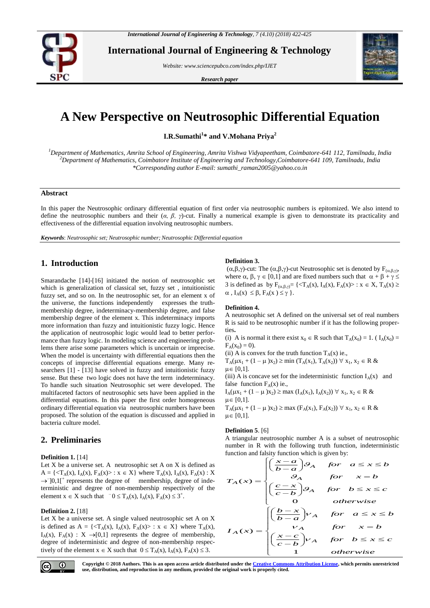

**International Journal of Engineering & Technology**

*Website: www.sciencepubco.com/index.php/IJET*

*Research paper*



# **A New Perspective on Neutrosophic Differential Equation**

**I.R.Sumathi<sup>1</sup> \* and V.Mohana Priya<sup>2</sup>**

*<sup>1</sup>Department of Mathematics, Amrita School of Engineering, Amrita Vishwa Vidyapeetham, Coimbatore-641 112, Tamilnadu, India <sup>2</sup>Department of Mathematics, Coimbatore Institute of Engineering and Technology,Coimbatore-641 109, Tamilnadu, India \*Corresponding author E-mail: sumathi\_raman2005@yahoo.co.in*

## **Abstract**

In this paper the Neutrosophic ordinary differential equation of first order via neutrosophic numbers is epitomized. We also intend to define the neutrosophic numbers and their (*α, β, γ*)-cut. Finally a numerical example is given to demonstrate its practicality and effectiveness of the differential equation involving neutrosophic numbers.

*Keywords*: *Neutrosophic set; Neutrosophic number; Neutrosophic Differential equation*

# **1. Introduction**

<span id="page-0-2"></span><span id="page-0-1"></span><span id="page-0-0"></span>Smarandache [\[14\]](#page-0-0)-[\[16\]](#page-0-1) initiated the notion of neutrosophic set which is generalization of classical set, fuzzy set , intuitionistic fuzzy set, and so on. In the neutrosophic set, for an element x of the universe, the functions independently expresses the truthmembership degree, indeterminacy-membership degree, and false membership degree of the element x. This indeterminacy imports more information than fuzzy and intuitionistic fuzzy logic. Hence the application of neutrosophic logic would lead to better performance than fuzzy logic. In modeling science and engineering problems there arise some parameters which is uncertain or imprecise. When the model is uncertainty with differential equations then the concepts of imprecise differential equations emerge. Many researchers [1] - [\[13\]](#page-0-2) have solved in fuzzy and intuitionistic fuzzy sense. But these two logic does not have the term indeterminacy. To handle such situation Neutrosophic set were developed. The multifaceted factors of neutrosophic sets have been applied in the differential equations. In this paper the first order homogeneous ordinary differential equation via neutrosophic numbers have been proposed. The solution of the equation is discussed and applied in bacteria culture model.

# **2. Preliminaries**

### **Definition 1.** [14]

Let  $X$  be a universe set. A neutrosophic set  $A$  on  $X$  is defined as  $A = \{ \langle T_A(x), I_A(x), F_A(x) \rangle : x \in X \}$  where  $T_A(x), I_A(x), F_A(x) : X$  $\rightarrow$  [0,1[<sup>+</sup> represents the degree of membership, degree of indeterministic and degree of non-membership respectively of the element  $x \in X$  such that  $\bar{0} \leq T_A(x)$ ,  $I_A(x)$ ,  $F_A(x) \leq 3^+$ .

### **Definition 2.** [18]

Let X be a universe set. A single valued neutrosophic set A on X is defined as  $A = \{ \langle T_A(x), I_A(x), F_A(x) \rangle : x \in X \}$  where  $T_A(x)$ ,  $I_A(x)$ ,  $F_A(x)$  :  $X \rightarrow [0,1]$  represents the degree of membership, degree of indeterministic and degree of non-membership respectively of the element  $x \in X$  such that  $0 \le T_A(x)$ ,  $I_A(x)$ ,  $F_A(x) \le 3$ .

### **Definition 3.**

 $(\alpha,\beta,\gamma)$ -cut: The  $(\alpha,\beta,\gamma)$ -cut Neutrosophic set is denoted by  $F_{(\alpha,\beta,\gamma)}$ , where  $\alpha$ ,  $\beta$ ,  $\gamma \in [0,1]$  and are fixed numbers such that  $\alpha + \beta + \gamma \leq$ 3 is defined as by  $F_{(\alpha,\beta,\gamma)} = \{ \langle T_A(x), I_A(x), F_A(x) \rangle : x \in X, T_A(x) \geq 0 \}$  $\alpha$ ,  $I_A(x) \leq \beta$ ,  $F_A(x) \leq \gamma$  }.

#### **Definition 4.**

A neutrosophic set A defined on the universal set of real numbers R is said to be neutrosophic number if it has the following properties**.**

(i) A is normal it there exist  $x_0 \in R$  such that  $T_A(x_0) = 1$ . ( $I_A(x_0) =$  $F_A(x_0) = 0$ ).

(ii) A is convex for the truth function  $T_A(x)$  ie.,

 $T_A(\mu x_1 + (1 - \mu) x_2) \ge \min (T_A(x_1), T_A(x_2)) \ \forall \ x_1, x_2 \in R \ \& \$  $\mu \in [0,1]$ .

(iii) A is concave set for the indeterministic function  $I_A(x)$  and false function  $F_A(x)$  ie.,

 $I_A(\mu x_1 + (1 - \mu) x_2) \ge \max(I_A(x_1), I_A(x_2)) \ \forall \ x_1, x_2 \in R \ \& \$  $\mu \in [0,1].$ 

 $T_A(\mu x_1 + (1 - \mu) x_2) \ge \max(F_A(x_1), F_A(x_2)) \ \forall \ x_1, x_2 \in R \ \& \$  $\mu \in [0,1].$ 

### **Definition 5**. [6]

A triangular neutrosophic number A is a subset of neutrosophic number in R with the following truth function, indeterministic function and falsity function which is given by:<br> $\left[\left(\frac{x-a}{a}\right)a\right]$ 

$$
T_A(x) = \begin{cases} \left(\frac{x-a}{b-a}\right)\theta_A & \text{for } a \le x \le b \\ \theta_A & \text{for } x = b \\ \left(\frac{c-x}{c-b}\right)\theta_A & \text{for } b \le x \le c \\ 0 & \text{otherwise} \end{cases}
$$
  

$$
I_A(x) = \begin{cases} \left(\frac{b-x}{b-a}\right)v_A & \text{for } a \le x \le b \\ \left(\frac{x-c}{c-b}\right)v_A & \text{for } x = b \\ 1 & \text{otherwise} \end{cases}
$$



**Copyright © 2018 Authors. This is an open access article distributed under th[e Creative Commons Attribution License,](http://creativecommons.org/licenses/by/3.0/) which permits unrestricted use, distribution, and reproduction in any medium, provided the original work is properly cited.**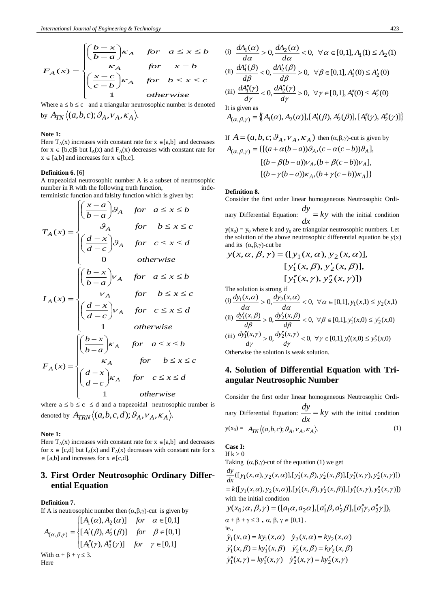$$
F_A(x) = \begin{cases} \left(\frac{b-x}{b-a}\right)\kappa_A & \text{for } a \le x \le b\\ \kappa_A & \text{for } x = b\\ \left(\frac{x-c}{c-b}\right)\kappa_A & \text{for } b \le x \le c\\ 1 & \text{otherwise} \end{cases}
$$

Where  $a \le b \le c$  and a triangular neutrosophic number is denoted by  $A_{TN} \langle (a,b,c); \mathcal{G}_A, V_A, K_A \rangle$ .

### **Note 1:**

Here  $T_A(x)$  increases with constant rate for  $x \in [a,b]$  and decreases for  $x \in [b,c]$ \$ but  $I_A(x)$  and  $F_A(x)$  decreases with constant rate for  $x \in [a,b]$  and increases for  $x \in [b,c]$ .

# **Definition 6.** [6]

A trapezoidal neutrosophic number A is a subset of neutrosophic number in  $R$  with the following truth function, terministic function and falsity function which is given by:

$$
T_A(x) = \begin{cases} \left(\frac{x-a}{b-a}\right)\theta_A & \text{for } a \le x \le b \\ \theta_A & \text{for } b \le x \le c \\ \left(\frac{d-x}{d-c}\right)\theta_A & \text{for } c \le x \le d \end{cases}
$$
  
\n
$$
I_A(x) = \begin{cases} \left(\frac{b-x}{b-a}\right)v_A & \text{for } a \le x \le b \\ v_A & \text{for } b \le x \le c \\ \left(\frac{d-x}{d-c}\right)v_A & \text{for } c \le x \le d \\ 1 & \text{otherwise} \end{cases}
$$
  
\n
$$
F_A(x) = \begin{cases} \left(\frac{b-x}{b-a}\right)\kappa_A & \text{for } a \le x \le b \\ \kappa_A & \text{for } b \le x \le c \\ \left(\frac{d-x}{d-c}\right)\kappa_A & \text{for } c \le x \le d \\ 1 & \text{otherwise} \end{cases}
$$

where  $a \le b \le c \le d$  and a trapezoidal neutrosophic number is denoted by  $\ A_{TRN} \big\langle (a,b,c,d); \mathcal{G}_A, {V}_A, {K}_A \big\rangle$ .

### **Note 1:**

Here  $T_A(x)$  increases with constant rate for  $x \in [a,b]$  and decreases for  $x \in [c,d]$  but  $I_A(x)$  and  $F_A(x)$  decreases with constant rate for x  $\in$  [a,b] and increases for  $x \in [c,d]$ .

# **3. First Order Neutrosophic Ordinary Differential Equation**

### **Definition 7.**

If A is neutrosophic number then  $(\alpha,\beta,\gamma)$ -cut is given by  $\left[ [A_1(\alpha), A_2(\alpha)] \quad \text{for} \quad \alpha \in [0,1] \right]$ 

$$
A_{(\alpha,\beta,\gamma)} = \begin{cases} [A'_1(\beta), A'_2(\beta)] & \text{for } \beta \in [0,1] \\ [A''_1(\gamma), A''_2(\gamma)] & \text{for } \gamma \in [0,1] \end{cases}
$$

$$
[A''_1(\gamma), A''_2(\gamma)]
$$
  
With  $\alpha + \beta + \gamma \le 3$ .  
Here

(i) 
$$
\frac{dA_1(\alpha)}{d\alpha} > 0, \frac{dA_2(\alpha)}{d\alpha} < 0, \forall \alpha \in [0,1], A_1(1) \le A_2(1)
$$
  
\n(ii) 
$$
\frac{dA'_1(\beta)}{d\beta} < 0, \frac{dA'_2(\beta)}{d\beta} > 0, \forall \beta \in [0,1], A'_1(0) \le A'_2(0)
$$
  
\n(iii) 
$$
\frac{dA''_1(\gamma)}{d\gamma} < 0, \frac{dA''_2(\gamma)}{d\gamma} > 0, \forall \gamma \in [0,1], A''_1(0) \le A''_2(0)
$$
  
\nIt is given as  
\n
$$
A_{(\alpha,\beta,\gamma)} = \{[A_1(\alpha), A_2(\alpha)], [A'_1(\beta), A'_2(\beta)], [A''_1(\gamma), A''_2(\gamma)]\}
$$

If 
$$
A = (a, b, c; \mathcal{G}_A, v_A, \kappa_A)
$$
 then  $(\alpha, \beta, \gamma)$ -cut is given by  
\n
$$
A_{(\alpha, \beta, \gamma)} = \{ [(a + \alpha(b - a))\mathcal{G}_A, (c - \alpha(c - b))\mathcal{G}_A],
$$
\n
$$
[(b - \beta(b - a))v_A, (b + \beta(c - b))v_A],
$$
\n
$$
[(b - \gamma(b - a))\kappa_A, (b + \gamma(c - b))\kappa_A] \}
$$

#### **Definition 8.**

Consider the first order linear homogeneous Neutrosophic Ordi-

nary Differential Equation:  $\frac{dy}{dx} = ky$ *dx*  $\frac{dy}{dx} = ky$  with the initial condition  $y(x_0) = y_0$  where k and  $y_0$  are triangular neutrosophic numbers. Let the solution of the above neutrosophic differential equation be  $y(x)$ and its  $(\alpha,\beta,\gamma)$ -cut be

$$
y(x, \alpha, \beta, \gamma) = ([y_1(x, \alpha), y_2(x, \alpha)],
$$
  
\n
$$
[y'_1(x, \beta), y'_2(x, \beta)],
$$
  
\n
$$
[y''_1(x, \gamma), y''_2(x, \gamma)])
$$
  
\nThe solution is strong if  
\n(i)  $\frac{dy_1(x, \alpha)}{d\alpha} > 0, \frac{dy_2(x, \alpha)}{d\alpha} < 0, \forall \alpha \in [0,1], y_1(x,1) \le y_2(x,1)$   
\n(ii)  $\frac{dy'_1(x, \beta)}{d\beta} > 0, \frac{dy'_2(x, \beta)}{d\beta} < 0, \forall \beta \in [0,1], y'_1(x,0) \le y'_2(x,0)$   
\n(iii)  $\frac{dy''_1(x, \gamma)}{d\gamma} > 0, \frac{dy''_2(x, \gamma)}{d\gamma} < 0, \forall \gamma \in [0,1], y''_1(x,0) \le y''_2(x,0)$ 

Otherwise the solution is weak solution.

# **4. Solution of Differential Equation with Triangular Neutrosophic Number**

Consider the first order linear homogeneous Neutrosophic Ordinary Differential Equation:  $\frac{dy}{dx} = ky$ *dx*  $\frac{dy}{dx} = ky$  with the initial condition  $y(x_0) = A_{TN} \langle (a,b,c); \mathcal{G}_A, V_A, K_A \rangle.$  (1)

**Case I:**  If  $k > 0$ 

Taking 
$$
(\alpha, \beta, \gamma)
$$
-cut of the equation (1) we get

 $= k([y_1(x, \alpha), y_2(x, \alpha)], [y'_1(x, \beta), y'_2(x, \beta)], [y''_1(x, \gamma), y''_2(x, \gamma)])$  $\frac{dy}{dx}$  ([y<sub>1</sub>(x,  $\alpha$ ), y<sub>2</sub>(x, $\alpha$ )],[y<sub>1</sub>(x, $\beta$ ), y<sub>2</sub>(x, $\beta$ )],[y<sub>1</sub>(x,  $\gamma$ ), y<sub>2</sub>(x, $\gamma$ )])  $\frac{dy}{dx}$ ([y<sub>1</sub>(x,  $\alpha$ ), y<sub>2</sub>(x,  $\alpha$ )], [y'<sub>1</sub>(x,  $\beta$ ), y'<sub>2</sub>(x,  $\beta$ )], [y'<sub>1</sub>(x,  $\gamma$ ), y'<sub>2</sub> with the initial condition

$$
y(x_0; \alpha, \beta, \gamma) = (\left[a_1\alpha, a_2\alpha\right], \left[a_1'\beta, a_2'\beta\right], \left[a_1''\gamma, a_2''\gamma\right]),
$$

$$
\alpha + \beta + \gamma \leq 3 , \alpha, \beta, \gamma \in [0,1] .
$$
ie.,

$$
\dot{y}_1(x, \alpha) = k y_1(x, \alpha) \quad \dot{y}_2(x, \alpha) = k y_2(x, \alpha)
$$
  

$$
\dot{y}_1'(x, \beta) = k y_1'(x, \beta) \quad \dot{y}_2'(x, \beta) = k y_2'(x, \beta)
$$
  

$$
\dot{y}_1''(x, \gamma) = k y_1''(x, \gamma) \quad \dot{y}_2''(x, \gamma) = k y_2''(x, \gamma)
$$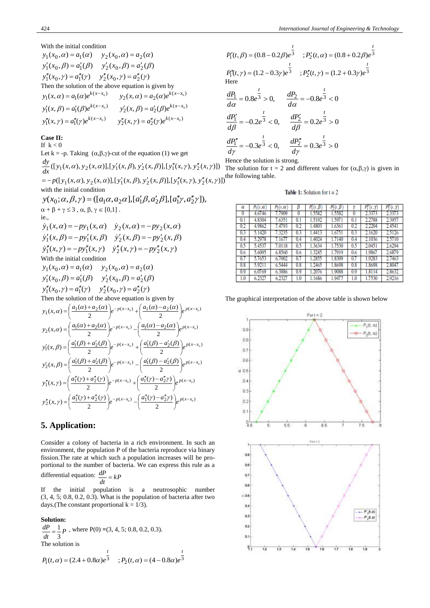### With the initial condition

 $y_1''(x_0, \gamma) = a_1''(\gamma)$   $y_2''(x_0, \gamma) = a_2''(\gamma)$  $y'_1(x_0, \beta) = a'_1(\beta)$   $y'_2(x_0, \beta) = a'_2(\beta)$  $y_1(x_0, \alpha) = a_1(\alpha)$   $y_2(x_0, \alpha) = a_2(\alpha)$ Then the solution of the above equation is given by  $y_2''(x, \gamma) = a_2''(\gamma) e^{k(x - x_0)}$  $y_1''(x, \gamma) = a_1''(\gamma)e^{k(x-x_0)}$   $y_2''(x, \gamma) = a_2''(\gamma)e^{k(x-x_0)}$  $\beta$ ) =  $a'_1(\beta)e^{k(x-x_0)}$   $y'_2(x,\beta) = a'_2(\beta)e^{k(x-x_0)}$  $y'_1(x, \beta) = a'_1(\beta)e^{k(x-x_0)}$   $y'_2(x, \beta) = a'_2(\beta)e^{k(x-x_0)}$  $y_2(x, \alpha) = a_2(\alpha) e^{k(x - x_0)}$  $y_1(x, \alpha) = a_1(\alpha)e^{k(x-x_0)}$   $y_2(x, \alpha) = a_2(\alpha)e^{k(x-x_0)}$ 

# **Case II:**

If  $k < 0$ 

Let k = -p. Taking  $(\alpha,\beta,\gamma)$ -cut of the equation (1) we get

$$
\frac{dy}{dx}([y_1(x,\alpha), y_2(x,\alpha)], [y_1'(x,\beta), y_2'(x,\beta)], [y_1''(x,\gamma), y_2''(x,\gamma)])
$$

 $= -p([y_1(x, \alpha), y_2(x, \alpha)], [y'_1(x, \beta), y'_2(x, \beta)], [y''_1(x, \gamma), y''_2(x, \gamma)]$  the following table.

with the initial condition  $y(x_0; \alpha, \beta, \gamma) = (\frac{a_1 \alpha}{a_2 \alpha}, \frac{a_1 \beta}{a_1 \beta}, \frac{a_2 \beta}{a_2 \beta}, \frac{a_1 \gamma}{a_2 \gamma}, \frac{a_2 \gamma}{a_2 \gamma})$  $\alpha + \beta + \gamma \leq 3$ ,  $\alpha, \beta, \gamma \in [0,1]$ . ie.,  $\dot{y}_1''(x, \gamma) = -py_1''(x, \gamma) \quad \dot{y}_2''(x, \gamma) = -py_2''(x, \gamma)$  $\dot{y}'_1(x, \beta) = -py'_1(x, \beta) \quad \dot{y}'_2(x, \beta) = -py'_2(x, \beta)$  $\dot{y}_1(x, \alpha) = -py_1(x, \alpha)$   $\dot{y}_2(x, \alpha) = -py_2(x, \alpha)$ With the initial condition  $y_1''(x_0, \gamma) = a_1''(\gamma)$   $y_2''(x_0, \gamma) = a_2''(\gamma)$  $y'_1(x_0, \beta) = a'_1(\beta)$   $y'_2(x_0, \beta) = a'_2(\beta)$  $y_1(x_0, \alpha) = a_1(\alpha)$   $y_2(x_0, \alpha) = a_2(\alpha)$ Then the solution of the above equation is given by  $u_1(x, \alpha) = \left(\frac{u_1(\alpha)+u_2(\alpha)}{2}\right)e^{-p(x-x_0)} + \left(\frac{u_1(\alpha)-u_2(\alpha)}{2}\right)e^{p(x-x_0)}$  $(\alpha) - a_2(\alpha)$ 2  $y_1(x, \alpha) = \left(\frac{a_1(\alpha) + a_2(\alpha)}{2}\right) e^{-p(x - x_0)} + \left(\frac{a_1(\alpha) - a_2(\alpha)}{2}\right) e^{p(x - x_0)}$  $\left(\frac{a_1(\alpha)-a_2(\alpha)}{2}\right)$  $e^{-p(x-x_0)} + \left(\frac{a_1(\alpha)-1}{2}\right)$  $\left(\frac{a_1(\alpha)+a_2(\alpha)}{2}\right)$  $\alpha) = \left(\frac{a_1(\alpha)+a_2(\alpha)}{a_1(\alpha)+a_2(\alpha)}\right)e^{-p(x-x_0)} + \left(\frac{a_1(\alpha)-a_2(\alpha)}{a_1(\alpha)+a_2(\alpha)}\right)$  $\mathcal{L}_2(x,\alpha) = \left(\frac{a_1(\alpha)+a_2(\alpha)}{2}\right) e^{-p(x-x_0)} - \left(\frac{a_1(\alpha)-a_2(\alpha)}{2}\right) e^{p(x-x_0)}$  $(\alpha) - a_2(\alpha)$ 2  $y_2(x, \alpha) = \left( \frac{a_1(\alpha) + a_2(\alpha)}{2} \right) e^{-p(x - x_0)} - \left( \frac{a_1(\alpha) - a_2(\alpha)}{2} \right) e^{p(x - x_0)}$  $\left(\frac{a_1(\alpha)-a_2(\alpha)}{2}\right)$  $e^{-p(x-x_0)} - \left(\frac{a_1(\alpha)-1}{2}\right)$  $\left(\frac{a_1(\alpha)+a_2(\alpha)}{2}\right)$  $\alpha = \left(\frac{a_1(\alpha) + a_2(\alpha)}{2}\right) e^{-p(x-x_0)} - \left(\frac{a_1(\alpha) - a_2(\alpha)}{2}\right)$  $f_1'(x,\beta) = \left(\frac{a_1(\beta) + a_2(\beta)}{2}\right) e^{-p(x-x_0)} + \left(\frac{a_1(\beta) - a_2(\beta)}{2}\right) e^{p(x-x_0)}$  $(\beta) - a'_2(\beta)$ 2  $y'_1(x,\beta) = \left(\frac{a'_1(\beta) + a'_2(\beta)}{2}\right) e^{-p(x-x_0)} + \left(\frac{a'_1(\beta) - a'_2(\beta)}{2}\right) e^{p(x-x_0)}$  $\left(\frac{a'_1(\beta)-a'_2(\beta)}{2}\right)$  $\bigg)e^{-p(x-x_0)} + \bigg(\frac{a'_1(\beta)-a'_2}{2}\bigg)$  $\left(\frac{a'_1(\beta)+a'_2(\beta)}{2}\right)^2$  $I_1'(x,\beta) = \left(\frac{a'_1(\beta) + a'_2(\beta)}{2}\right) e^{-p(x-x_0)} + \left(\frac{a'_1(\beta) - a'_2(\beta)}{2}\right)$  $I_2(x,\beta) = \left(\frac{a_1(\beta)+a_2(\beta)}{2}\right)e^{-p(x-x_0)} - \left(\frac{a_1(\beta)-a_2(\beta)}{2}\right)e^{p(x-x_0)}$  $(\beta) - a'_2(\beta)$ 2  $y'_{2}(x, \beta) = \left(\frac{a'_{1}(\beta) + a'_{2}(\beta)}{2}\right) e^{-p(x-x_{0})} - \left(\frac{a'_{1}(\beta) - a'_{2}(\beta)}{2}\right) e^{p(x-x_{0})}$  $\left(\frac{a'_1(\beta)-a'_2(\beta)}{2}\right)$  $\bigg)e^{-p(x-x_0)} - \bigg(\frac{a'_1(\beta)-a'_2}{2}\bigg)$  $\left(\frac{a'_1(\beta)+a'_2(\beta)}{2}\right)$  $\int_{2}^{1}(x,\beta)=\left(\frac{a'_{1}(\beta)+a'_{2}(\beta)}{2}\right)e^{-p(x-x_{0})}-\left(\frac{a'_{1}(\beta)-a'_{2}(\beta)}{2}\right)e^{-\frac{1}{2}(\beta-\frac{1}{2})}$  $\int_{1}^{n}(x,\gamma) = \left(\frac{a_1(\gamma)+a_2(\gamma)}{2}\right)e^{-p(x-x_0)} + \left(\frac{a_1(\gamma)-a_2(\gamma)}{2}\right)e^{p(x-x_0)}$  $(\gamma) - a''_2 \gamma$ 2  $y_1''(x, \gamma) = \left(\frac{a_1''(\gamma) + a_2''(\gamma)}{2}\right) e^{-p(x-x_0)} + \left(\frac{a_1''(\gamma) - a_2''(\gamma)}{2}\right) e^{-p(x-x_0)}$  $\left(\frac{a''_1(\gamma)-a''_2\gamma}{2}\right)$  $e^{-p(x-x_0)} + \left(\frac{a''_1(\gamma) - a''_2}{2}\right)$  $\left(\frac{a''_1(\gamma)+a''_2(\gamma)}{2}\right)$  $\int_{1}^{n}(x,\gamma) = \left(\frac{a''_1(\gamma) + a''_2(\gamma)}{2}\right)e^{-p(x-x_0)} + \left(\frac{a''_1(\gamma) - a''_2\gamma}{2}\right)e^{-p(x-x_0)}$  $\int_{2}^{n}(x,\gamma) = \left(\frac{a_1(\gamma)+a_2(\gamma)}{2}\right)e^{-p(x-x_0)} - \left(\frac{a_1(\gamma)-a_2(\gamma)}{2}\right)e^{p(x-x_0)}$  $(\gamma) - a''_2 \gamma$  $y_2''(x, \gamma) = \left(\frac{a_1''(\gamma) + a_2''(\gamma)}{2}\right) e^{-p(x-x_0)} - \left(\frac{a_1''(\gamma) - a_2''(\gamma)}{2}\right) e^{-p(x-x_0)}$  $\left(\frac{a''_1(\gamma)-a''_2\gamma}{2}\right)$  $\bigg)e^{-p(x-x_0)} - \bigg(\frac{a_1''(\gamma)-a_2''}{2}\bigg)$  $\left(\frac{a''_1(\gamma)+a''_2(\gamma)}{2}\right)$  $\int_{2}^{n}(x,\gamma) = \left(\frac{a_1^{n}(\gamma) + a_2^{n}(\gamma)}{2}\right)e^{-p(x-x_0)} - \left(\frac{a_1^{n}(\gamma) - a_2^{n}(\gamma)}{2}\right)e^{-p(x-x_0)}$ 

# **5. Application:**

Consider a colony of bacteria in a rich environment. In such an environment, the population P of the bacteria reproduce via binary fission.The rate at which such a population increases will be proportional to the number of bacteria. We can express this rule as a differential equation:  $\frac{dP}{dt} = kP$ 

*dt*

2

If the initial population is a neutrosophic number (3, 4, 5; 0.8, 0.2, 0.3). What is the population of bacteria after two days.(The constant proportional  $k = 1/3$ ).

### **Solution:**

 $\frac{dI}{dt} = \frac{1}{3}P$ *dP* 3  $=\frac{1}{2}P$ , where P(0) = (3, 4, 5; 0.8, 0.2, 0.3). The solution is  $P_1(t, \alpha) = (2.4 + 0.8\alpha)e^3$  ;  $P_2(t, \alpha) = (4 - 0.8\alpha)e^3$ *t t*  $P_1(t, \alpha) = (2.4 + 0.8\alpha)e^3$  ;  $P_2(t, \alpha) = (4 - 0.8\alpha)e^3$ 

$$
P'_1(t, \beta) = (0.8 - 0.2\beta)e^{\frac{t}{3}}; P'_2(t, \alpha) = (0.8 + 0.2\beta)e^{\frac{t}{3}}
$$
  
\n
$$
P''_1(t, \gamma) = (1.2 - 0.3\gamma)e^{\frac{t}{3}}; P''_2(t, \gamma) = (1.2 + 0.3\gamma)e^{\frac{t}{3}}
$$
  
\nHere  
\n
$$
\frac{dP_1}{d\alpha} = 0.8e^{\frac{t}{3}} > 0, \qquad \frac{dP_2}{d\alpha} = -0.8e^{\frac{t}{3}} < 0
$$
  
\n
$$
\frac{dP'_1}{d\beta} = -0.2e^{\frac{t}{3}} < 0, \qquad \frac{dP'_2}{d\beta} = 0.2e^{\frac{t}{3}} > 0
$$
  
\n
$$
\frac{dP''_1}{d\gamma} = -0.3e^{\frac{t}{3}} < 0, \qquad \frac{dP''_2}{d\gamma} = 0.3e^{\frac{t}{3}} > 0
$$

Hence the solution is strong.

The solution for  $t = 2$  and different values for  $(\alpha, \beta, \gamma)$  is given in

### **Table 1:** Solution for  $t = 2$

| α        | $P_1(t,\alpha)$ | $P_2(t,\alpha)$ |     |        | $P_2(t, \beta)$ |          | $P''_1(t,\gamma)$ | $P_2''(t,\gamma)$ |
|----------|-----------------|-----------------|-----|--------|-----------------|----------|-------------------|-------------------|
| $\bf{0}$ | 4.6746          | 7.7909          | o   | 1.5582 | 1.5582          | $\bf{0}$ | 2.3373            | 2.3373            |
| 0.1      | 4.8304          | 7.6351          | 0.1 | 1.5192 | 1.5971          | 0.1      | 2.2788            | 2.3957            |
| 0.2      | 4.9862          | 7.4793          | 0.2 | 1.4803 | 1.636           | 0.2      | 2.2204            | 2.4541            |
| 0.3      | 5.1420          | 7.3235          | 0.3 | .4413  | 1.6751          | 0.3      | 2.1620            | 2.5126            |
| 0.4      | 5.2978          | 7.167           | 0.4 | 1.4024 | 1.7140          | 0.4      | 2.1036            | 2.5710            |
| 0.5      | 5.4537          | 7.0118          | 0.5 | 1.3634 | 1.7530          | 0.5      | 2.0451            | 2.6294            |
| 0.6      | 5.6095          | 6.8560          | 0.6 | 1.3245 | 1.7919          | 0.6      | 1.9867            | 2.6879            |
| 0.7      | 5.7653          | 6.7002          | 0.7 | 1.2855 | 1.8309          | 0.7      | 1.9283            | 2.7463            |
| 0.8      | 5.9211          | 6.5444          | 0.8 | 1.2465 | 1.8698          | 0.8      | 1.8698            | 2.8047            |
| 0.9      | 6.0769          | 6.3886          | 0.9 | 1.2076 | 1.9088          | 0.9      | 1.8114            | 2.8632            |
| 1.0      | 6.2327          | 6.2327          | 1.0 | 1.1686 | 1.947           | 1.0      | 1.7530            | 2.9216            |

The graphical interpretation of the above table is shown below